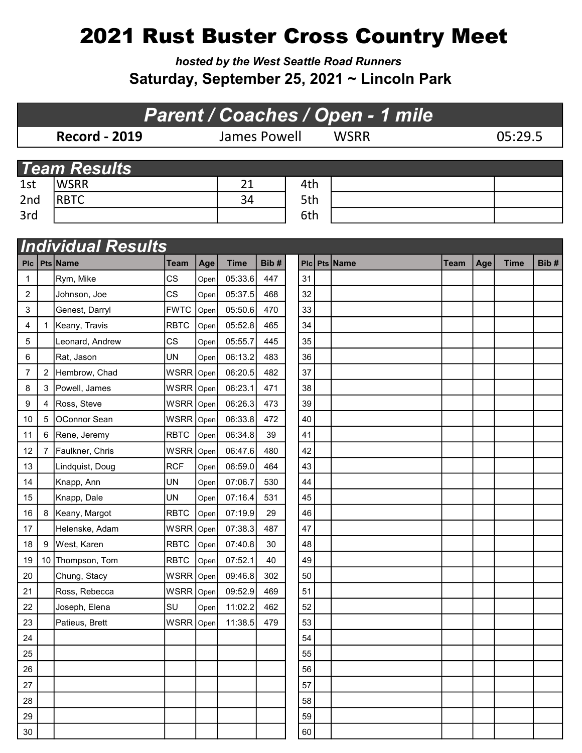## 2021 Rust Buster Cross Country Meet

hosted by the West Seattle Road Runners Saturday, September 25, 2021 ~ Lincoln Park

| <b>Parent / Coaches / Open - 1 mile</b> |                           |                     |                     |      |             |      |             |         |          |      |     |             |      |  |
|-----------------------------------------|---------------------------|---------------------|---------------------|------|-------------|------|-------------|---------|----------|------|-----|-------------|------|--|
| <b>Record - 2019</b>                    |                           |                     | <b>James Powell</b> |      |             |      | <b>WSRR</b> | 05:29.5 |          |      |     |             |      |  |
|                                         |                           |                     |                     |      |             |      |             |         |          |      |     |             |      |  |
|                                         |                           | <b>Team Results</b> |                     |      |             |      |             |         |          |      |     |             |      |  |
| 1st                                     |                           | <b>WSRR</b>         |                     |      | 21          | 4th  |             |         |          |      |     |             |      |  |
| 2nd                                     |                           | <b>RBTC</b>         |                     |      | 34          | 5th  |             |         |          |      |     |             |      |  |
| 3rd                                     |                           |                     |                     |      |             | 6th  |             |         |          |      |     |             |      |  |
|                                         |                           |                     |                     |      |             |      |             |         |          |      |     |             |      |  |
|                                         | <b>Individual Results</b> |                     |                     |      |             |      |             |         |          |      |     |             |      |  |
| <b>PIC</b>                              |                           | <b>Pts Name</b>     | Team                | Age  | <b>Time</b> | Bib# | <b>PIc</b>  |         | Pts Name | Team | Age | <b>Time</b> | Bib# |  |
| 1                                       |                           | Rym, Mike           | <b>CS</b>           | Open | 05:33.6     | 447  | 31          |         |          |      |     |             |      |  |
| 2                                       |                           | Johnson, Joe        | <b>CS</b>           | Open | 05:37.5     | 468  | 32          |         |          |      |     |             |      |  |
| 3                                       |                           | Genest, Darryl      | <b>FWTC</b>         | Open | 05:50.6     | 470  | 33          |         |          |      |     |             |      |  |
| 4                                       | 1                         | Keany, Travis       | <b>RBTC</b>         | Open | 05:52.8     | 465  | 34          |         |          |      |     |             |      |  |
| 5                                       |                           | Leonard, Andrew     | CS                  | Open | 05:55.7     | 445  | 35          |         |          |      |     |             |      |  |
| 6                                       |                           | Rat, Jason          | UN                  | Open | 06:13.2     | 483  | 36          |         |          |      |     |             |      |  |
| 7                                       | $\overline{2}$            | Hembrow, Chad       | <b>WSRR</b>         | Open | 06:20.5     | 482  | 37          |         |          |      |     |             |      |  |
| 8                                       | 3                         | Powell, James       | WSRR                | Open | 06:23.1     | 471  | 38          |         |          |      |     |             |      |  |
| 9                                       | 4                         | Ross, Steve         | <b>WSRR</b>         | Open | 06:26.3     | 473  | 39          |         |          |      |     |             |      |  |
| 10                                      | 5                         | OConnor Sean        | <b>WSRR</b>         | Open | 06:33.8     | 472  | 40          |         |          |      |     |             |      |  |
| 11                                      |                           | 6 Rene, Jeremy      | <b>RBTC</b>         | Open | 06:34.8     | 39   | 41          |         |          |      |     |             |      |  |
| 12                                      | 7                         | Faulkner, Chris     | WSRR                | Open | 06:47.6     | 480  | 42          |         |          |      |     |             |      |  |
| 13                                      |                           | Lindquist, Doug     | <b>RCF</b>          | Open | 06:59.0     | 464  | 43          |         |          |      |     |             |      |  |
| 14                                      |                           | Knapp, Ann          | UN                  | Open | 07:06.7     | 530  | 44          |         |          |      |     |             |      |  |
| 15                                      |                           | Knapp, Dale         | UN                  | Open | 07:16.4     | 531  | 45          |         |          |      |     |             |      |  |
| 16                                      |                           | 8   Keany, Margot   | <b>RBTC</b>         | Open | 07:19.9     | 29   | 46          |         |          |      |     |             |      |  |
| 17                                      |                           | Helenske, Adam      | <b>WSRR</b>         | Open | 07:38.3     | 487  | 47          |         |          |      |     |             |      |  |
| 18                                      | 9                         | West, Karen         | <b>RBTC</b>         | Open | 07:40.8     | 30   | 48          |         |          |      |     |             |      |  |
| 19                                      |                           | 10 Thompson, Tom    | <b>RBTC</b>         | Open | 07:52.1     | 40   | 49          |         |          |      |     |             |      |  |
| 20                                      |                           | Chung, Stacy        | WSRR Open           |      | 09:46.8     | 302  | 50          |         |          |      |     |             |      |  |

21 Ross, Rebecca WSRR Open 09:52.9 469 51 22 Joseph, Elena SU Open 11:02.2 462 52 23 | Patieus, Brett | WSRR Open | 11:38.5 | 479 | 53 24 | | | | | | | | | | | | | 54 25 | | | | | | | | | | | | 55 26 | | | | | | | | | | | | 56 27 | | | | | | | | | | | | 57 28 | | | | | | | | | | | | 58 29 | | | | | | | | | | | | | | 59 30 60